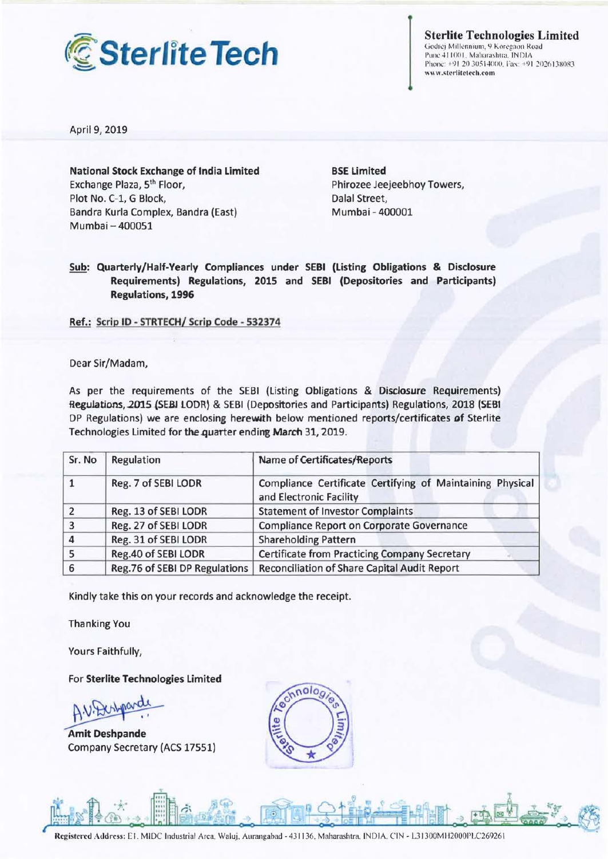

**Sterlite Technologies Limited** 

Godrej Millennium, 9 Koregaon Road Pune 411001, Maharashtra, INDIA<br>Phone: +91 20 30514000, Fax: +91 2026138083 www.sterlitetech.com

April 9, 2019

**National Stock Exchange of India Limited**  Exchange Plaza, 5th Floor, Plot No. C-1, G Block, Bandra Kurla Complex, Bandra (East) Mumbai - 400051

**BSE Limited**  Phirozee Jeejeebhoy Towers, Dalal Street, Mumbai - 400001

**Sub: Quarterly/Half-Yearly Compliances under SEBI (Listing Obligations** & **Disclosure Requirements) Regulations, 2015 and SEBI (Depositories and Participants) Regulations, 1996** 

**Ref.: Scrip** ID - **STRTECH/ Scrip Code** - **532374** 

Dear Sir/Madam,

As per the requirements of the SEBI (Listing Obligations & Disclosure Requirements) Regulations, 2015 (SEBI LODR) & SEBI (Depositories and Participants) Regulations, 2018 (SEBI DP Regulations) we are enclosing herewith below mentioned reports/certificates of Sterlite Technologies Limited for the quarter ending March 31, 2019.

| Sr. No         | Regulation                    | Name of Certificates/Reports                                                         |
|----------------|-------------------------------|--------------------------------------------------------------------------------------|
|                | Reg. 7 of SEBI LODR           | Compliance Certificate Certifying of Maintaining Physical<br>and Electronic Facility |
| $\overline{2}$ | Reg. 13 of SEBI LODR          | <b>Statement of Investor Complaints</b>                                              |
| 3              | Reg. 27 of SEBI LODR          | Compliance Report on Corporate Governance                                            |
| $\overline{4}$ | Reg. 31 of SEBI LODR          | <b>Shareholding Pattern</b>                                                          |
|                | Reg.40 of SEBI LODR           | <b>Certificate from Practicing Company Secretary</b>                                 |
| 6              | Reg.76 of SEBI DP Regulations | Reconciliation of Share Capital Audit Report                                         |

Kindly take this on your records and acknowledge the receipt.

Thanking You

Yours Faithfully,

For **Sterlite Technologies Limited** 

Yours Faithfully,<br>For Sterlite Technologies Limited<br>A.V. Deshpande<br>Amit Deshpande<br>Company Secretary (ACS 17551) Company Secretary (ACS 17551)

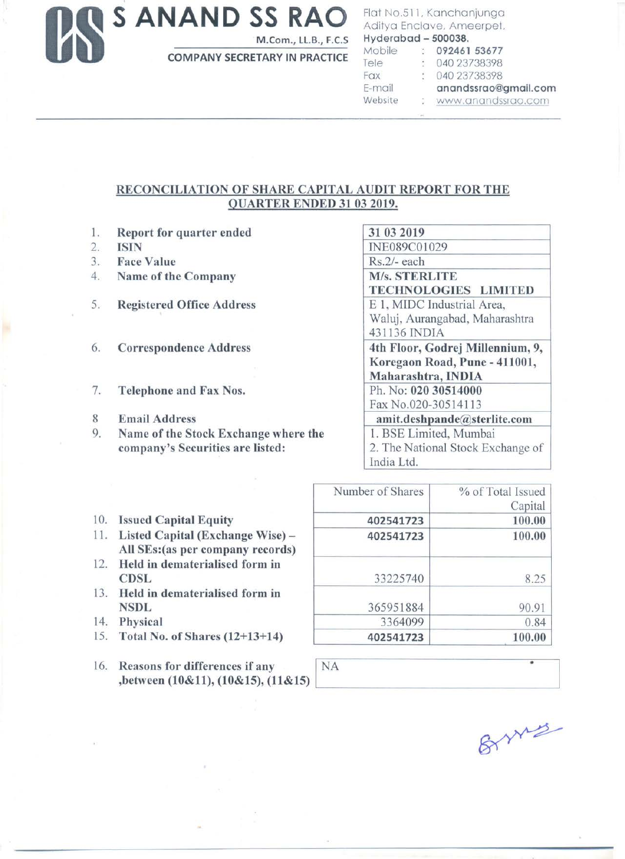**S ANAND SS RAO M.Com., LLB., F.C.S** 

**COMPANY SECRETARY IN PRACTICE** 

## Flat No.511, Kanchanjunga Aditya Enclave, Ameerpet, **Hyderabad** - **500038.**

| Mobile  | 8. | 092461 53677         |
|---------|----|----------------------|
| Tele    | ÷. | 040 23738398         |
| Fax     |    | 040 23738398         |
| E-mail  |    | anandssrao@gmail.com |
| Website |    | : www.anandssrao.com |
|         |    |                      |

## **RECONCILIATION OF SHARE CAPITAL AUDIT REPORT FOR THE QUARTER ENDED 31 03 2019.**

- 1. **Report for quarter ended**
- 2. **ISIN**
- 3. **Face Value**
- 4. **Name of the Company**
- 5. **Registered Office Address**
- 6. Correspondence Address
- 7. **Telephone and Fax Nos.**
- 8 **Email Address**
- 9. **Name of the Stock Exchange where the company's Securities are listed:**

| 31 03 2019                        |
|-----------------------------------|
| INE089C01029                      |
| Rs.2/- each                       |
| <b>M/s. STERLITE</b>              |
| <b>TECHNOLOGIES LIMITED</b>       |
| E 1, MIDC Industrial Area,        |
| Waluj, Aurangabad, Maharashtra    |
| 431136 INDIA                      |
| 4th Floor, Godrej Millennium, 9,  |
| Koregaon Road, Pune - 411001,     |
| Maharashtra, INDIA                |
| Ph. No: 020 30514000              |
| Fax No.020-30514113               |
| amit.deshpande@sterlite.com       |
| 1. BSE Limited, Mumbai            |
| 2. The National Stock Exchange of |
| India Ltd.                        |

| Number of Shares | % of Total Issued |
|------------------|-------------------|
|                  | Capital           |
| 402541723        | 100.00            |
| 402541723        | 100.00            |
| 33225740         | 8.25              |
| 365951884        | 90.91             |
| 3364099          | 0.84              |
| 402541723        | 100.00            |

- 10. **Issued Capital Equity**
- 11 . **Listed Capital (Exchange Wise) All SEs:(as per company records)**
- 12. **Held in dematerialised form in CDSL**
- 13. **Held in dematerialised form in NSDL**
- 14. **Physical**
- 15. **Total No. of Shares (12+13+14)**
- 16. **Reasons for differences if any**  $\vert$  NA ,between (10&11), (10&15), (11&15)

| anys |
|------|
|      |

 $\circ$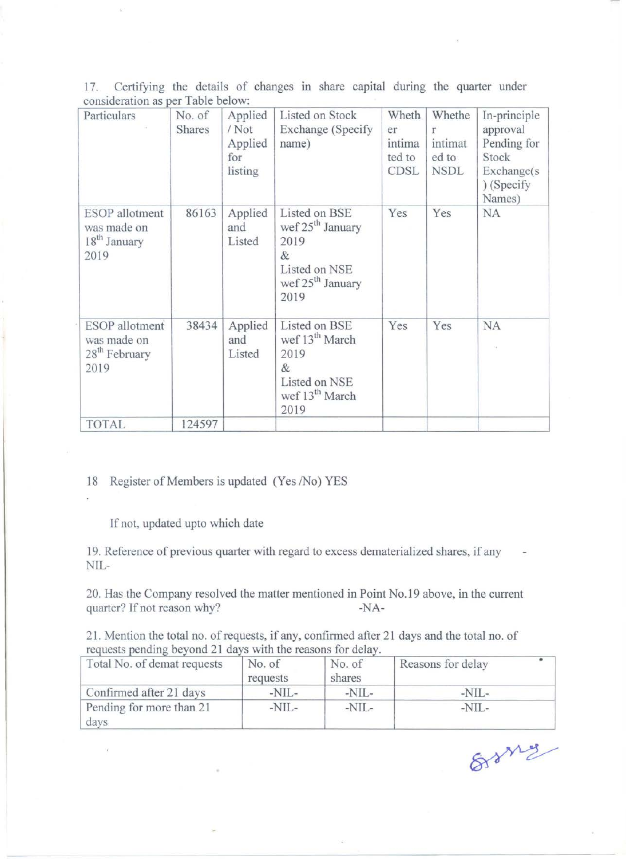17. Certifying the details of changes in share capital during the quarter under consideration as per Table below:

| Particulars                                                               | No. of<br><b>Shares</b> | Applied<br>/ Not<br>Applied<br>for<br>listing | Listed on Stock<br>Exchange (Specify)<br>name)                                                                     | Wheth<br>er<br>intima<br>ted to<br><b>CDSL</b> | Whethe<br>r<br>intimat<br>ed to<br><b>NSDL</b> | In-principle<br>approval<br>Pending for<br>Stock<br>Exchange(s)<br>) (Specify<br>Names) |
|---------------------------------------------------------------------------|-------------------------|-----------------------------------------------|--------------------------------------------------------------------------------------------------------------------|------------------------------------------------|------------------------------------------------|-----------------------------------------------------------------------------------------|
| <b>ESOP</b> allotment<br>was made on<br>18 <sup>th</sup> January<br>2019  | 86163                   | Applied<br>and<br>Listed                      | Listed on BSE<br>wef $25th$ January<br>2019<br>&<br>Listed on NSE<br>wef 25 <sup>th</sup> January<br>2019          | Yes                                            | Yes                                            | NA                                                                                      |
| <b>ESOP</b> allotment<br>was made on<br>28 <sup>th</sup> February<br>2019 | 38434                   | Applied<br>and<br>Listed                      | Listed on BSE<br>wef 13 <sup>th</sup> March<br>2019<br>$\&$<br>Listed on NSE<br>wef 13 <sup>th</sup> March<br>2019 | Yes                                            | Yes                                            | <b>NA</b>                                                                               |
| <b>TOTAL</b>                                                              | 124597                  |                                               |                                                                                                                    |                                                |                                                |                                                                                         |

18 Register of Members is updated (Yes /No) YES

If not, updated upto which date

19. Reference of previous quarter with regard to excess dematerialized shares, if any NIL-

20. Has the Company resolved the matter mentioned in Point No.19 above, in the current quarter? If not reason why? -NA-

21. Mention the total no. of requests, if any, confirmed after 21 days and the total no. of requests pending beyond 21 days with the reasons for delay.

| Total No. of demat requests      | No. of<br>requests | No. of<br>shares | Reasons for delay |
|----------------------------------|--------------------|------------------|-------------------|
| Confirmed after 21 days          | $-NIL-$            | $-NIL-$          | $-NIL-$           |
| Pending for more than 21<br>days | $-NIL-$            | $-NIL-$          | $-NIL-$           |

8rany